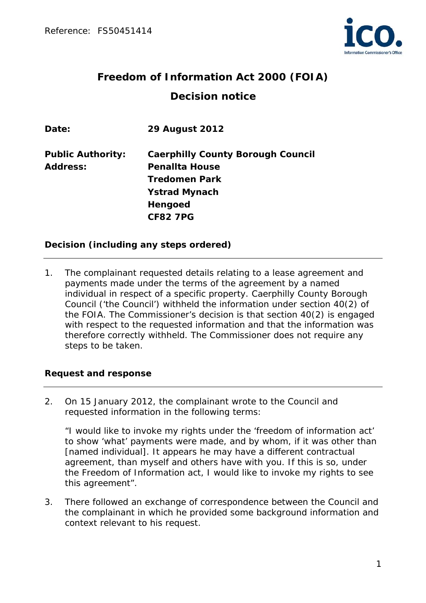

# **Freedom of Information Act 2000 (FOIA) Decision notice**

| Date:                    | <b>29 August 2012</b>                    |
|--------------------------|------------------------------------------|
| <b>Public Authority:</b> | <b>Caerphilly County Borough Council</b> |
| <b>Address:</b>          | <b>Penallta House</b>                    |
|                          | <b>Tredomen Park</b>                     |
|                          | <b>Ystrad Mynach</b>                     |
|                          | Hengoed                                  |
|                          | <b>CF82 7PG</b>                          |

### **Decision (including any steps ordered)**

1. The complainant requested details relating to a lease agreement and payments made under the terms of the agreement by a named individual in respect of a specific property. Caerphilly County Borough Council ('the Council') withheld the information under section 40(2) of the FOIA. The Commissioner's decision is that section 40(2) is engaged with respect to the requested information and that the information was therefore correctly withheld. The Commissioner does not require any steps to be taken.

### **Request and response**

2. On 15 January 2012, the complainant wrote to the Council and requested information in the following terms:

"I would like to invoke my rights under the 'freedom of information act' to show 'what' payments were made, and by whom, if it was other than [named individual]. It appears he may have a different contractual agreement, than myself and others have with you. If this is so, under the Freedom of Information act, I would like to invoke my rights to see this agreement".

3. There followed an exchange of correspondence between the Council and the complainant in which he provided some background information and context relevant to his request.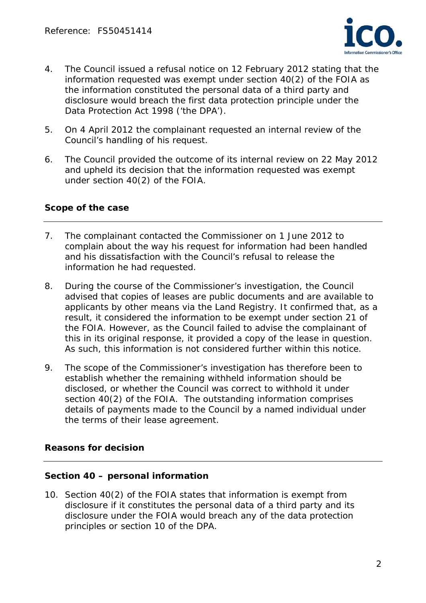

- 4. The Council issued a refusal notice on 12 February 2012 stating that the information requested was exempt under section 40(2) of the FOIA as the information constituted the personal data of a third party and disclosure would breach the first data protection principle under the Data Protection Act 1998 ('the DPA').
- 5. On 4 April 2012 the complainant requested an internal review of the Council's handling of his request.
- 6. The Council provided the outcome of its internal review on 22 May 2012 and upheld its decision that the information requested was exempt under section 40(2) of the FOIA.

### **Scope of the case**

- 7. The complainant contacted the Commissioner on 1 June 2012 to complain about the way his request for information had been handled and his dissatisfaction with the Council's refusal to release the information he had requested.
- 8. During the course of the Commissioner's investigation, the Council advised that copies of leases are public documents and are available to applicants by other means via the Land Registry. It confirmed that, as a result, it considered the information to be exempt under section 21 of the FOIA. However, as the Council failed to advise the complainant of this in its original response, it provided a copy of the lease in question. As such, this information is not considered further within this notice.
- 9. The scope of the Commissioner's investigation has therefore been to establish whether the remaining withheld information should be disclosed, or whether the Council was correct to withhold it under section 40(2) of the FOIA. The outstanding information comprises details of payments made to the Council by a named individual under the terms of their lease agreement.

### **Reasons for decision**

### **Section 40 – personal information**

10. Section 40(2) of the FOIA states that information is exempt from disclosure if it constitutes the personal data of a third party and its disclosure under the FOIA would breach any of the data protection principles or section 10 of the DPA.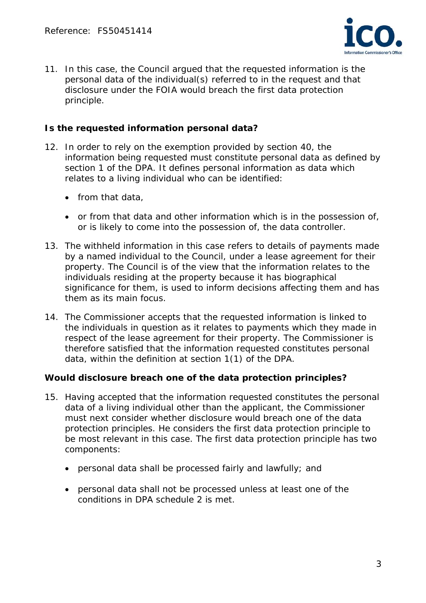

11. In this case, the Council argued that the requested information is the personal data of the individual(s) referred to in the request and that disclosure under the FOIA would breach the first data protection principle.

## **Is the requested information personal data?**

- 12. In order to rely on the exemption provided by section 40, the information being requested must constitute personal data as defined by section 1 of the DPA. It defines personal information as data which relates to a living individual who can be identified:
	- $\bullet$  from that data,
	- or from that data and other information which is in the possession of, or is likely to come into the possession of, the data controller.
- 13. The withheld information in this case refers to details of payments made by a named individual to the Council, under a lease agreement for their property. The Council is of the view that the information relates to the individuals residing at the property because it has biographical significance for them, is used to inform decisions affecting them and has them as its main focus.
- 14. The Commissioner accepts that the requested information is linked to the individuals in question as it relates to payments which they made in respect of the lease agreement for their property. The Commissioner is therefore satisfied that the information requested constitutes personal data, within the definition at section 1(1) of the DPA.

### **Would disclosure breach one of the data protection principles?**

- 15. Having accepted that the information requested constitutes the personal data of a living individual other than the applicant, the Commissioner must next consider whether disclosure would breach one of the data protection principles. He considers the first data protection principle to be most relevant in this case. The first data protection principle has two components:
	- personal data shall be processed fairly and lawfully; and
	- personal data shall not be processed unless at least one of the conditions in DPA schedule 2 is met.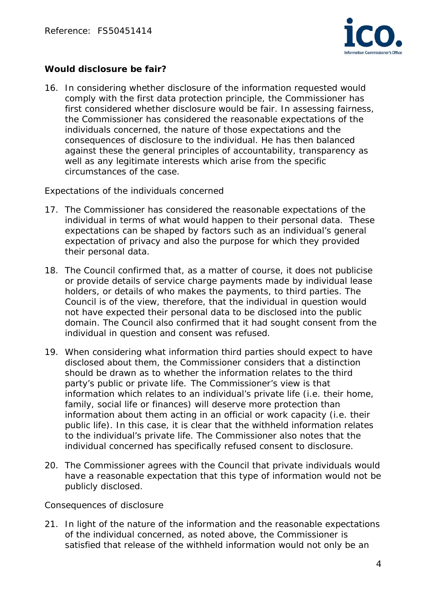

## **Would disclosure be fair?**

16. In considering whether disclosure of the information requested would comply with the first data protection principle, the Commissioner has first considered whether disclosure would be fair. In assessing fairness, the Commissioner has considered the reasonable expectations of the individuals concerned, the nature of those expectations and the consequences of disclosure to the individual. He has then balanced against these the general principles of accountability, transparency as well as any legitimate interests which arise from the specific circumstances of the case.

### *Expectations of the individuals concerned*

- 17. The Commissioner has considered the reasonable expectations of the individual in terms of what would happen to their personal data. These expectations can be shaped by factors such as an individual's general expectation of privacy and also the purpose for which they provided their personal data.
- 18. The Council confirmed that, as a matter of course, it does not publicise or provide details of service charge payments made by individual lease holders, or details of who makes the payments, to third parties. The Council is of the view, therefore, that the individual in question would not have expected their personal data to be disclosed into the public domain. The Council also confirmed that it had sought consent from the individual in question and consent was refused.
- 19. When considering what information third parties should expect to have disclosed about them, the Commissioner considers that a distinction should be drawn as to whether the information relates to the third party's public or private life. The Commissioner's view is that information which relates to an individual's private life (i.e. their home, family, social life or finances) will deserve more protection than information about them acting in an official or work capacity (i.e. their public life). In this case, it is clear that the withheld information relates to the individual's private life. The Commissioner also notes that the individual concerned has specifically refused consent to disclosure.
- 20. The Commissioner agrees with the Council that private individuals would have a reasonable expectation that this type of information would not be publicly disclosed.

#### *Consequences of disclosure*

21. In light of the nature of the information and the reasonable expectations of the individual concerned, as noted above, the Commissioner is satisfied that release of the withheld information would not only be an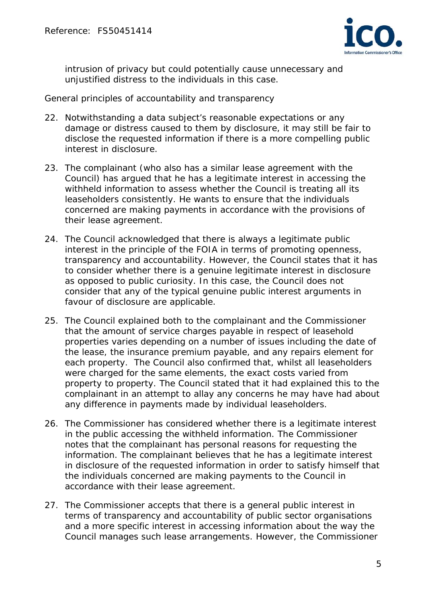

intrusion of privacy but could potentially cause unnecessary and unjustified distress to the individuals in this case.

#### *General principles of accountability and transparency*

- 22. Notwithstanding a data subject's reasonable expectations or any damage or distress caused to them by disclosure, it may still be fair to disclose the requested information if there is a more compelling public interest in disclosure.
- 23. The complainant (who also has a similar lease agreement with the Council) has argued that he has a legitimate interest in accessing the withheld information to assess whether the Council is treating all its leaseholders consistently. He wants to ensure that the individuals concerned are making payments in accordance with the provisions of their lease agreement.
- 24. The Council acknowledged that there is always a legitimate public interest in the principle of the FOIA in terms of promoting openness, transparency and accountability. However, the Council states that it has to consider whether there is a genuine legitimate interest in disclosure as opposed to public curiosity. In this case, the Council does not consider that any of the typical genuine public interest arguments in favour of disclosure are applicable.
- 25. The Council explained both to the complainant and the Commissioner that the amount of service charges payable in respect of leasehold properties varies depending on a number of issues including the date of the lease, the insurance premium payable, and any repairs element for each property. The Council also confirmed that, whilst all leaseholders were charged for the same elements, the exact costs varied from property to property. The Council stated that it had explained this to the complainant in an attempt to allay any concerns he may have had about any difference in payments made by individual leaseholders.
- 26. The Commissioner has considered whether there is a legitimate interest in the public accessing the withheld information. The Commissioner notes that the complainant has personal reasons for requesting the information. The complainant believes that he has a legitimate interest in disclosure of the requested information in order to satisfy himself that the individuals concerned are making payments to the Council in accordance with their lease agreement.
- 27. The Commissioner accepts that there is a general public interest in terms of transparency and accountability of public sector organisations and a more specific interest in accessing information about the way the Council manages such lease arrangements. However, the Commissioner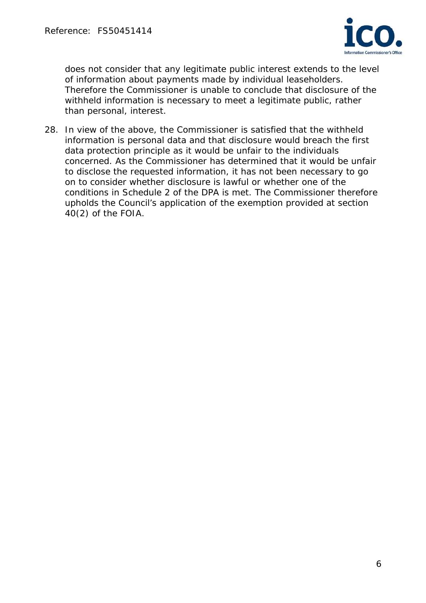

does not consider that any legitimate public interest extends to the level of information about payments made by individual leaseholders. Therefore the Commissioner is unable to conclude that disclosure of the withheld information is necessary to meet a legitimate public, rather than personal, interest.

28. In view of the above, the Commissioner is satisfied that the withheld information is personal data and that disclosure would breach the first data protection principle as it would be unfair to the individuals concerned. As the Commissioner has determined that it would be unfair to disclose the requested information, it has not been necessary to go on to consider whether disclosure is lawful or whether one of the conditions in Schedule 2 of the DPA is met. The Commissioner therefore upholds the Council's application of the exemption provided at section 40(2) of the FOIA.